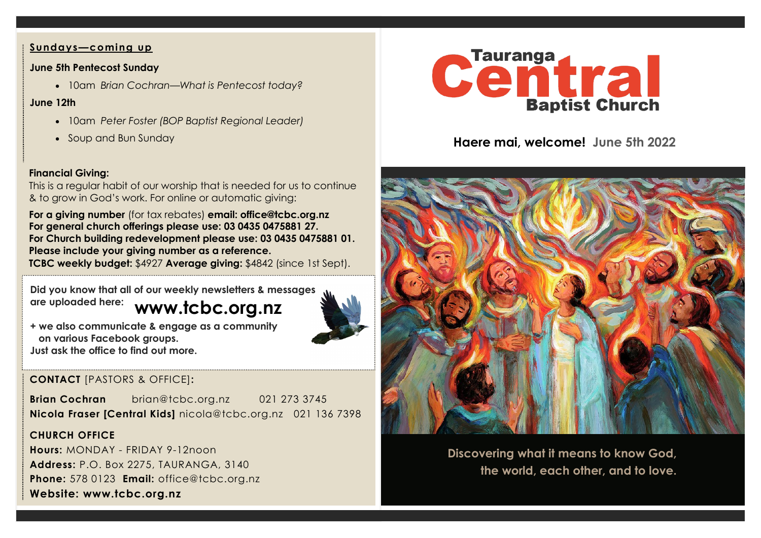### **Sundays—coming up**

#### **June 5th Pentecost Sunday**

• 10am *Brian Cochran—What is Pentecost today?*

#### **June 12th**

- 10am *Peter Foster (BOP Baptist Regional Leader)*
- Soup and Bun Sunday

## **Financial Giving:**

This is a regular habit of our worship that is needed for us to continue & to grow in God's work. For online or automatic giving:

**For a giving number** (for tax rebates) **email: office@tcbc.org.nz For general church offerings please use: 03 0435 0475881 27. For Church building redevelopment please use: 03 0435 0475881 01. Please include your giving number as a reference. TCBC weekly budget:** \$4927 **Average giving:** \$4842 (since 1st Sept).

**www.tcbc.org.nz Did you know that all of our weekly newsletters & messages are uploaded here:** 



**+ we also communicate & engage as a community on various Facebook groups. Just ask the office to find out more.**

# **CONTACT** [PASTORS & OFFICE]**:**

**Brian Cochran** brian@tcbc.org.nz 021 273 3745 **Nicola Fraser [Central Kids]** nicola@tcbc.org.nz021 136 7398

## **CHURCH OFFICE**

**Hours:** MONDAY - FRIDAY 9-12noon **Address:** P.O. Box 2275, TAURANGA, 3140 **Phone:** 578 0123 **Email:** office@tcbc.org.nz **Website: www.tcbc.org.nz**



**Haere mai, welcome! June 5th 2022**



**Discovering what it means to know God, the world, each other, and to love.**